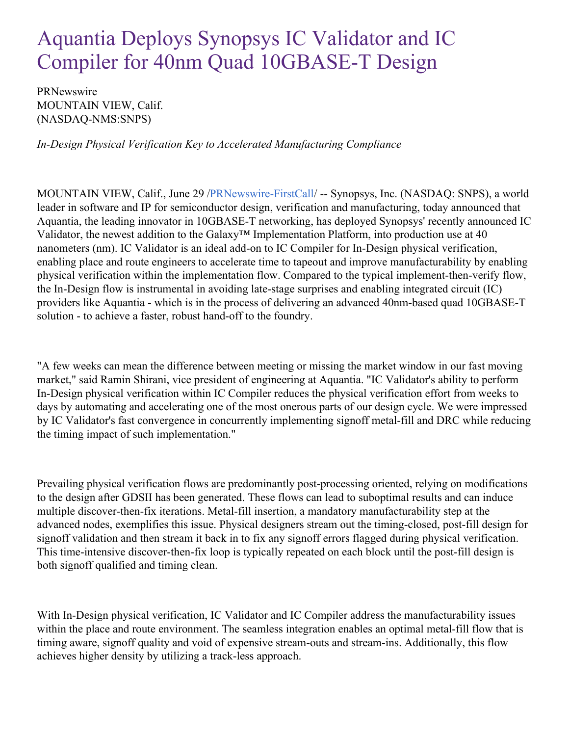## Aquantia Deploys Synopsys IC Validator and IC Compiler for 40nm Quad 10GBASE-T Design

PRNewswire MOUNTAIN VIEW, Calif. (NASDAQ-NMS:SNPS)

*In-Design Physical Verification Key to Accelerated Manufacturing Compliance*

MOUNTAIN VIEW, Calif., June 29 [/PRNewswire-FirstCall](http://www.prnewswire.com/)/ -- Synopsys, Inc. (NASDAQ: SNPS), a world leader in software and IP for semiconductor design, verification and manufacturing, today announced that Aquantia, the leading innovator in 10GBASE-T networking, has deployed Synopsys' recently announced IC Validator, the newest addition to the Galaxy™ Implementation Platform, into production use at 40 nanometers (nm). IC Validator is an ideal add-on to IC Compiler for In-Design physical verification, enabling place and route engineers to accelerate time to tapeout and improve manufacturability by enabling physical verification within the implementation flow. Compared to the typical implement-then-verify flow, the In-Design flow is instrumental in avoiding late-stage surprises and enabling integrated circuit (IC) providers like Aquantia - which is in the process of delivering an advanced 40nm-based quad 10GBASE-T solution - to achieve a faster, robust hand-off to the foundry.

"A few weeks can mean the difference between meeting or missing the market window in our fast moving market," said Ramin Shirani, vice president of engineering at Aquantia. "IC Validator's ability to perform In-Design physical verification within IC Compiler reduces the physical verification effort from weeks to days by automating and accelerating one of the most onerous parts of our design cycle. We were impressed by IC Validator's fast convergence in concurrently implementing signoff metal-fill and DRC while reducing the timing impact of such implementation."

Prevailing physical verification flows are predominantly post-processing oriented, relying on modifications to the design after GDSII has been generated. These flows can lead to suboptimal results and can induce multiple discover-then-fix iterations. Metal-fill insertion, a mandatory manufacturability step at the advanced nodes, exemplifies this issue. Physical designers stream out the timing-closed, post-fill design for signoff validation and then stream it back in to fix any signoff errors flagged during physical verification. This time-intensive discover-then-fix loop is typically repeated on each block until the post-fill design is both signoff qualified and timing clean.

With In-Design physical verification, IC Validator and IC Compiler address the manufacturability issues within the place and route environment. The seamless integration enables an optimal metal-fill flow that is timing aware, signoff quality and void of expensive stream-outs and stream-ins. Additionally, this flow achieves higher density by utilizing a track-less approach.